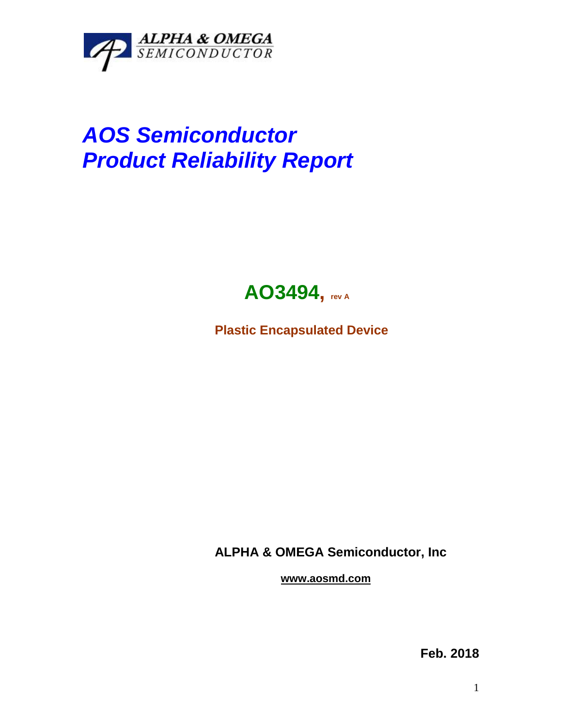

## *AOS Semiconductor Product Reliability Report*



**Plastic Encapsulated Device**

**ALPHA & OMEGA Semiconductor, Inc**

**www.aosmd.com**

**Feb. 2018**